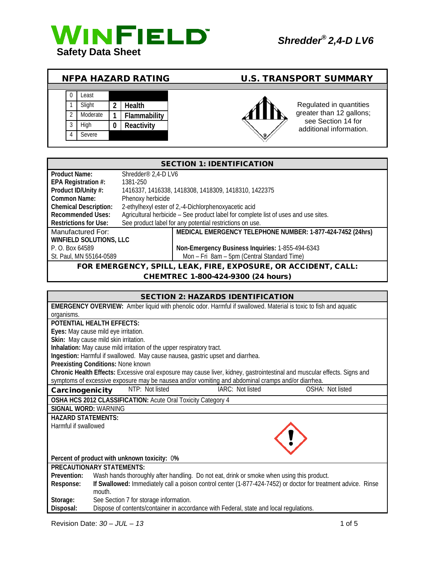

| <b>NFPA HAZARD RATING</b> |  |          |   |               | <b>U.S. TRANSPORT SUMMARY</b> |                                               |  |
|---------------------------|--|----------|---|---------------|-------------------------------|-----------------------------------------------|--|
|                           |  |          |   |               |                               |                                               |  |
|                           |  | Least    |   |               |                               |                                               |  |
|                           |  | Slight   | າ | <b>Health</b> |                               | Regulated in quantities                       |  |
|                           |  | Moderate |   | Flammability  |                               | greater than 12 gallons;                      |  |
|                           |  | High     | 0 | Reactivity    |                               | see Section 14 for<br>additional information. |  |
|                           |  | Severe   |   |               | $\mathbb V$                   |                                               |  |

| <b>SECTION 1: IDENTIFICATION</b>                               |                                 |                                                                                     |  |  |
|----------------------------------------------------------------|---------------------------------|-------------------------------------------------------------------------------------|--|--|
| <b>Product Name:</b>                                           | Shredder <sup>®</sup> 2,4-D LV6 |                                                                                     |  |  |
| EPA Registration #:                                            | 1381-250                        |                                                                                     |  |  |
| Product ID/Unity #:                                            |                                 | 1416337, 1416338, 1418308, 1418309, 1418310, 1422375                                |  |  |
| Common Name:                                                   | Phenoxy herbicide               |                                                                                     |  |  |
| <b>Chemical Description:</b>                                   |                                 | 2-ethylhexyl ester of 2,-4-Dichlorphenoxyacetic acid                                |  |  |
| <b>Recommended Uses:</b>                                       |                                 | Agricultural herbicide - See product label for complete list of uses and use sites. |  |  |
| <b>Restrictions for Use:</b>                                   |                                 | See product label for any potential restrictions on use.                            |  |  |
| Manufactured For:                                              |                                 | MEDICAL EMERGENCY TELEPHONE NUMBER: 1-877-424-7452 (24hrs)                          |  |  |
| <b>WINFIELD SOLUTIONS, LLC</b>                                 |                                 |                                                                                     |  |  |
| P. O. Box 64589                                                |                                 | Non-Emergency Business Inquiries: 1-855-494-6343                                    |  |  |
| St. Paul, MN 55164-0589                                        |                                 | Mon - Fri 8am - 5pm (Central Standard Time)                                         |  |  |
| FOR EMERGENCY, SPILL, LEAK, FIRE, EXPOSURE, OR ACCIDENT, CALL: |                                 |                                                                                     |  |  |
| CHEMTREC 1-800-424-9300 (24 hours)                             |                                 |                                                                                     |  |  |

| <b>SECTION 2: HAZARDS IDENTIFICATION</b>                                                                                   |  |  |  |  |  |
|----------------------------------------------------------------------------------------------------------------------------|--|--|--|--|--|
| <b>EMERGENCY OVERVIEW:</b> Amber liquid with phenolic odor. Harmful if swallowed. Material is toxic to fish and aquatic    |  |  |  |  |  |
| organisms.                                                                                                                 |  |  |  |  |  |
| POTENTIAL HEALTH EFFECTS:                                                                                                  |  |  |  |  |  |
| Eyes: May cause mild eye irritation.                                                                                       |  |  |  |  |  |
| Skin: May cause mild skin irritation.                                                                                      |  |  |  |  |  |
| Inhalation: May cause mild irritation of the upper respiratory tract.                                                      |  |  |  |  |  |
| Ingestion: Harmful if swallowed. May cause nausea, gastric upset and diarrhea.                                             |  |  |  |  |  |
| Preexisting Conditions: None known                                                                                         |  |  |  |  |  |
| Chronic Health Effects: Excessive oral exposure may cause liver, kidney, gastrointestinal and muscular effects. Signs and  |  |  |  |  |  |
| symptoms of excessive exposure may be nausea and/or vomiting and abdominal cramps and/or diarrhea.                         |  |  |  |  |  |
| IARC: Not listed<br>OSHA: Not listed<br>NTP: Not listed<br>Carcinogenicity                                                 |  |  |  |  |  |
| OSHA HCS 2012 CLASSIFICATION: Acute Oral Toxicity Category 4                                                               |  |  |  |  |  |
| SIGNAL WORD: WARNING                                                                                                       |  |  |  |  |  |
| <b>HAZARD STATEMENTS:</b>                                                                                                  |  |  |  |  |  |
| Harmful if swallowed                                                                                                       |  |  |  |  |  |
|                                                                                                                            |  |  |  |  |  |
|                                                                                                                            |  |  |  |  |  |
|                                                                                                                            |  |  |  |  |  |
| Percent of product with unknown toxicity: 0%                                                                               |  |  |  |  |  |
| <b>PRECAUTIONARY STATEMENTS:</b>                                                                                           |  |  |  |  |  |
| Wash hands thoroughly after handling. Do not eat, drink or smoke when using this product.<br>Prevention:                   |  |  |  |  |  |
| If Swallowed: Immediately call a poison control center (1-877-424-7452) or doctor for treatment advice. Rinse<br>Response: |  |  |  |  |  |
| mouth.                                                                                                                     |  |  |  |  |  |
| See Section 7 for storage information.<br>Storage:                                                                         |  |  |  |  |  |
| Dispose of contents/container in accordance with Federal, state and local regulations.<br>Disposal:                        |  |  |  |  |  |

Revision Date: *30 – JUL – 13* 1 of 5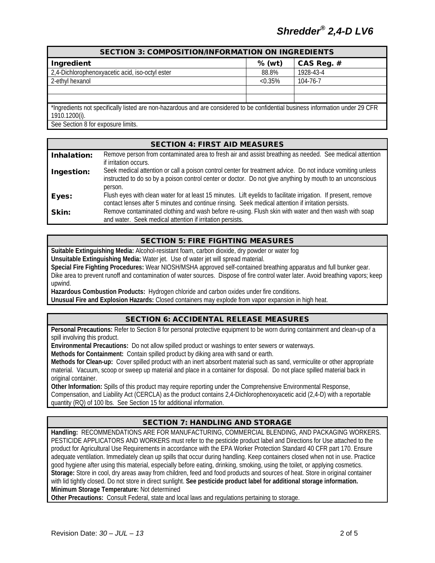# *Shredder® 2,4-D LV6*

| <b>SECTION 3: COMPOSITION/INFORMATION ON INGREDIENTS</b>                                                                       |            |            |  |  |  |
|--------------------------------------------------------------------------------------------------------------------------------|------------|------------|--|--|--|
| Ingredient                                                                                                                     | $%$ (wt)   | CAS Reg. # |  |  |  |
| 2,4-Dichlorophenoxyacetic acid, iso-octyl ester                                                                                | 88.8%      | 1928-43-4  |  |  |  |
| 2-ethyl hexanol                                                                                                                | $< 0.35\%$ | 104-76-7   |  |  |  |
|                                                                                                                                |            |            |  |  |  |
|                                                                                                                                |            |            |  |  |  |
| *Ingredients not specifically listed are non-hazardous and are considered to be confidential business information under 29 CFR |            |            |  |  |  |
| 1910.1200(i).                                                                                                                  |            |            |  |  |  |
| See Section 8 for exposure limits.                                                                                             |            |            |  |  |  |

|             | <b>SECTION 4: FIRST AID MEASURES</b>                                                                                                                                                                                               |
|-------------|------------------------------------------------------------------------------------------------------------------------------------------------------------------------------------------------------------------------------------|
| Inhalation: | Remove person from contaminated area to fresh air and assist breathing as needed. See medical attention<br>if irritation occurs.                                                                                                   |
| Ingestion:  | Seek medical attention or call a poison control center for treatment advice. Do not induce vomiting unless<br>instructed to do so by a poison control center or doctor. Do not give anything by mouth to an unconscious<br>person. |
| Eyes:       | Flush eyes with clean water for at least 15 minutes. Lift eyelids to facilitate irrigation. If present, remove<br>contact lenses after 5 minutes and continue rinsing. Seek medical attention if irritation persists.              |
| Skin:       | Remove contaminated clothing and wash before re-using. Flush skin with water and then wash with soap<br>and water. Seek medical attention if irritation persists.                                                                  |

#### SECTION 5: FIRE FIGHTING MEASURES

**Suitable Extinguishing Media:** Alcohol-resistant foam, carbon dioxide, dry powder or water fog **Unsuitable Extinguishing Media:** Water jet. Use of water jet will spread material.

**Special Fire Fighting Procedures:** Wear NIOSH/MSHA approved self-contained breathing apparatus and full bunker gear. Dike area to prevent runoff and contamination of water sources. Dispose of fire control water later. Avoid breathing vapors; keep upwind.

**Hazardous Combustion Products:** Hydrogen chloride and carbon oxides under fire conditions.

**Unusual Fire and Explosion Hazards:** Closed containers may explode from vapor expansion in high heat.

#### SECTION 6: ACCIDENTAL RELEASE MEASURES

**Personal Precautions:** Refer to Section 8 for personal protective equipment to be worn during containment and clean-up of a spill involving this product.

**Environmental Precautions:** Do not allow spilled product or washings to enter sewers or waterways.

**Methods for Containment:** Contain spilled product by diking area with sand or earth.

**Methods for Clean-up:** Cover spilled product with an inert absorbent material such as sand, vermiculite or other appropriate material. Vacuum, scoop or sweep up material and place in a container for disposal. Do not place spilled material back in original container.

**Other Information:** Spills of this product may require reporting under the Comprehensive Environmental Response, Compensation, and Liability Act (CERCLA) as the product contains 2,4-Dichlorophenoxyacetic acid (2,4-D) with a reportable quantity (RQ) of 100 lbs. See Section 15 for additional information.

# SECTION 7: HANDLING AND STORAGE

**Handling:** RECOMMENDATIONS ARE FOR MANUFACTURING, COMMERCIAL BLENDING, AND PACKAGING WORKERS. PESTICIDE APPLICATORS AND WORKERS must refer to the pesticide product label and Directions for Use attached to the product for Agricultural Use Requirements in accordance with the EPA Worker Protection Standard 40 CFR part 170. Ensure adequate ventilation. Immediately clean up spills that occur during handling. Keep containers closed when not in use. Practice good hygiene after using this material, especially before eating, drinking, smoking, using the toilet, or applying cosmetics. **Storage:** Store in cool, dry areas away from children, feed and food products and sources of heat. Store in original container with lid tightly closed. Do not store in direct sunlight. **See pesticide product label for additional storage information. Minimum Storage Temperature:** Not determined

**Other Precautions:** Consult Federal, state and local laws and regulations pertaining to storage.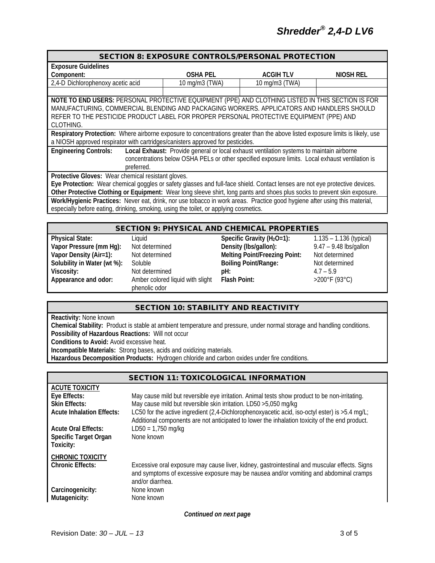| <b>Exposure Guidelines</b>        |                 |                 |           |  |  |
|-----------------------------------|-----------------|-----------------|-----------|--|--|
| Component:                        | <b>OSHA PEL</b> | <b>ACGIHTLV</b> | NIOSH REL |  |  |
| 2,4-D Dichlorophenoxy acetic acid | 10 mg/m3 (TWA)  | 10 mg/m3 (TWA)  |           |  |  |
|                                   |                 |                 |           |  |  |

**NOTE TO END USERS:** PERSONAL PROTECTIVE EQUIPMENT (PPE) AND CLOTHING LISTED IN THIS SECTION IS FOR MANUFACTURING, COMMERCIAL BLENDING AND PACKAGING WORKERS. APPLICATORS AND HANDLERS SHOULD REFER TO THE PESTICIDE PRODUCT LABEL FOR PROPER PERSONAL PROTECTIVE EQUIPMENT (PPE) AND CLOTHING.

**Respiratory Protection:** Where airborne exposure to concentrations greater than the above listed exposure limits is likely, use a NIOSH approved respirator with cartridges/canisters approved for pesticides.

**Engineering Controls: Local Exhaust:** Provide general or local exhaust ventilation systems to maintain airborne concentrations below OSHA PELs or other specified exposure limits. Local exhaust ventilation is preferred.

**Protective Gloves:** Wear chemical resistant gloves.

**Eye Protection:** Wear chemical goggles or safety glasses and full-face shield. Contact lenses are not eye protective devices. **Other Protective Clothing or Equipment:** Wear long sleeve shirt, long pants and shoes plus socks to prevent skin exposure. **Work/Hygienic Practices:** Never eat, drink, nor use tobacco in work areas. Practice good hygiene after using this material, especially before eating, drinking, smoking, using the toilet, or applying cosmetics.

|   | <b>SECTION 9: PHYSICAL AND CHEMICAL PROPERTIES</b> |                                                  |  |                                                             |  |
|---|----------------------------------------------------|--------------------------------------------------|--|-------------------------------------------------------------|--|
| . |                                                    | $\sim$ $\sim$ $\sim$ $\sim$ $\sim$ $\sim$ $\sim$ |  | $\overline{A}$ $\overline{A}$ $\overline{C}$ $\overline{A}$ |  |

| Physical State:             | Liauid                                | Specific Gravity $(H_2O=1)$ :        | $1.135 - 1$        |
|-----------------------------|---------------------------------------|--------------------------------------|--------------------|
| Vapor Pressure (mm Hg):     | Not determined                        | Density (lbs/gallon):                | $9.47 - 9.$        |
| Vapor Density (Air=1):      | Not determined                        | <b>Melting Point/Freezing Point:</b> | Not dete           |
| Solubility in Water (wt %): | Soluble                               | <b>Boiling Point/Range:</b>          | Not dete           |
| Viscosity:                  | Not determined                        | DH:                                  | $4.7 - 5.9$        |
| Appearance and odor:        | Amber colored liquid with slight      | <b>Flash Point:</b>                  | $>200^{\circ}$ F ( |
|                             | المتواري والمتاريخ والمتوارث والمراري |                                      |                    |

**Physical Specific Gravity (H<sub>2</sub>O=1):** 1.135 – 1.136 (typical) determined **Density** (Ibs/gallon): 9.47 – 9.48 lbs/gallon determined **Melting Point/Freezing Point:** Not determined **Solution Community in Boiling Point/Range:** Not determined **Appenrice and one of colored liquid with slight** phenolic odor

**Flash Point:** >200°F (93°C)

## SECTION 10: STABILITY AND REACTIVITY

**Reactivity:** None known

**Chemical Stability:** Product is stable at ambient temperature and pressure, under normal storage and handling conditions. **Possibility of Hazardous Reactions:** Will not occur

**Conditions to Avoid:** Avoid excessive heat.

**Incompatible Materials:** Strong bases, acids and oxidizing materials.

**Hazardous Decomposition Products:** Hydrogen chloride and carbon oxides under fire conditions.

|                                           | <b>SECTION 11: TOXICOLOGICAL INFORMATION</b>                                                                                                                                                               |
|-------------------------------------------|------------------------------------------------------------------------------------------------------------------------------------------------------------------------------------------------------------|
| <b>ACUTE TOXICITY</b>                     |                                                                                                                                                                                                            |
| Eye Effects:                              | May cause mild but reversible eye irritation. Animal tests show product to be non-irritating.                                                                                                              |
| <b>Skin Effects:</b>                      | May cause mild but reversible skin irritation. LD50 > 5,050 mg/kg                                                                                                                                          |
| <b>Acute Inhalation Effects:</b>          | LC50 for the active ingredient (2,4-Dichlorophenoxyacetic acid, iso-octyl ester) is >5.4 mq/L;<br>Additional components are not anticipated to lower the inhalation toxicity of the end product.           |
| <b>Acute Oral Effects:</b>                | $LD50 = 1,750$ mg/kg                                                                                                                                                                                       |
| <b>Specific Target Organ</b><br>Toxicity: | None known                                                                                                                                                                                                 |
| <b>CHRONIC TOXICITY</b>                   |                                                                                                                                                                                                            |
| <b>Chronic Effects:</b>                   | Excessive oral exposure may cause liver, kidney, gastrointestinal and muscular effects. Signs<br>and symptoms of excessive exposure may be nausea and/or vomiting and abdominal cramps<br>and/or diarrhea. |
| Carcinogenicity:                          | None known                                                                                                                                                                                                 |
| Mutagenicity:                             | None known                                                                                                                                                                                                 |

*Continued on next page*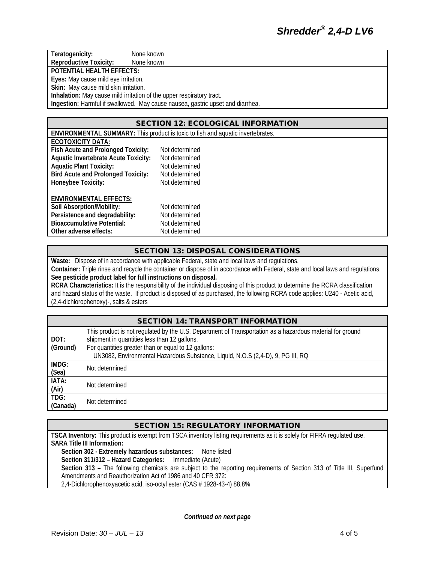**Teratogenicity:** None known<br> **Reproductive Toxicity:** None known **Reproductive Toxicity:** 

**POTENTIAL HEALTH EFFECTS:**

**Eyes:** May cause mild eye irritation.

**Skin:** May cause mild skin irritation.

**Inhalation:** May cause mild irritation of the upper respiratory tract.

**Ingestion:** Harmful if swallowed. May cause nausea, gastric upset and diarrhea.

#### SECTION 12: ECOLOGICAL INFORMATION

| <b>ENVIRONMENTAL SUMMARY:</b> This product is toxic to fish and aquatic invertebrates. |                |  |  |  |  |
|----------------------------------------------------------------------------------------|----------------|--|--|--|--|
| <b>ECOTOXICITY DATA:</b>                                                               |                |  |  |  |  |
| Fish Acute and Prolonged Toxicity:                                                     | Not determined |  |  |  |  |
| <b>Aquatic Invertebrate Acute Toxicity:</b>                                            | Not determined |  |  |  |  |
| <b>Aquatic Plant Toxicity:</b>                                                         | Not determined |  |  |  |  |
| <b>Bird Acute and Prolonged Toxicity:</b>                                              | Not determined |  |  |  |  |
| Honeybee Toxicity:                                                                     | Not determined |  |  |  |  |
| <b>ENVIRONMENTAL EFFECTS:</b>                                                          |                |  |  |  |  |
| Soil Absorption/Mobility:                                                              | Not determined |  |  |  |  |
| Persistence and degradability:                                                         | Not determined |  |  |  |  |
| <b>Bioaccumulative Potential:</b>                                                      | Not determined |  |  |  |  |
| Other adverse effects:                                                                 | Not determined |  |  |  |  |

#### SECTION 13: DISPOSAL CONSIDERATIONS

**Waste:** Dispose of in accordance with applicable Federal, state and local laws and regulations.

**Container:** Triple rinse and recycle the container or dispose of in accordance with Federal, state and local laws and regulations. **See pesticide product label for full instructions on disposal.**

**RCRA Characteristics:** It is the responsibility of the individual disposing of this product to determine the RCRA classification and hazard status of the waste. If product is disposed of as purchased, the following RCRA code applies: U240 - Acetic acid, (2,4-dichlorophenoxy)-, salts & esters

## SECTION 14: TRANSPORT INFORMATION

| DOT:<br>(Ground) | This product is not regulated by the U.S. Department of Transportation as a hazardous material for ground<br>shipment in quantities less than 12 gallons.<br>For quantities greater than or equal to 12 gallons:<br>UN3082, Environmental Hazardous Substance, Liquid, N.O.S (2,4-D), 9, PG III, RQ |
|------------------|-----------------------------------------------------------------------------------------------------------------------------------------------------------------------------------------------------------------------------------------------------------------------------------------------------|
| IMDG:<br>(Sea)   | Not determined                                                                                                                                                                                                                                                                                      |
| IATA:<br>(Air)   | Not determined                                                                                                                                                                                                                                                                                      |
| TDG:<br>(Canada) | Not determined                                                                                                                                                                                                                                                                                      |

#### SECTION 15: REGULATORY INFORMATION

**TSCA Inventory:** This product is exempt from TSCA inventory listing requirements as it is solely for FIFRA regulated use. **SARA Title III Information:**

**Section 302 - Extremely hazardous substances:** None listed **Section 311/312 – Hazard Categories:** Immediate (Acute) **Section 313 –** The following chemicals are subject to the reporting requirements of Section 313 of Title III, Superfund Amendments and Reauthorization Act of 1986 and 40 CFR 372: 2,4-Dichlorophenoxyacetic acid, iso-octyl ester (CAS # 1928-43-4) 88.8%

*Continued on next page*